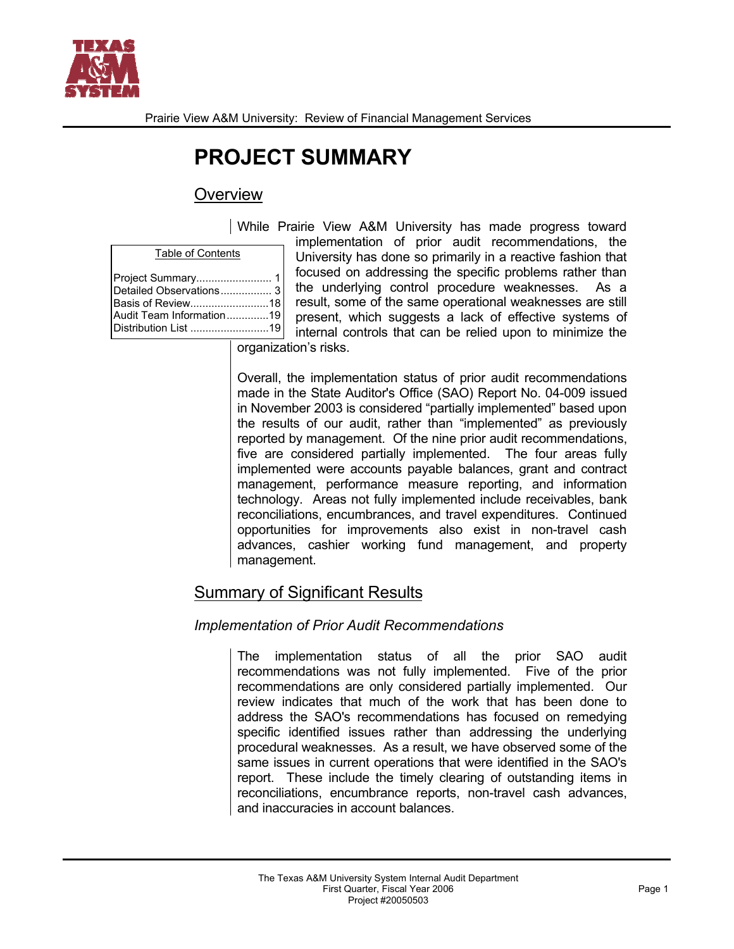

# **PROJECT SUMMARY**

# **Overview**

|  | <b>Table of Contents</b> |  |
|--|--------------------------|--|
|  |                          |  |

| Detailed Observations 3  |  |
|--------------------------|--|
| Basis of Review18        |  |
| Audit Team Information19 |  |
|                          |  |
|                          |  |

While Prairie View A&M University has made progress toward implementation of prior audit recommendations, the University has done so primarily in a reactive fashion that focused on addressing the specific problems rather than the underlying control procedure weaknesses. As a result, some of the same operational weaknesses are still present, which suggests a lack of effective systems of internal controls that can be relied upon to minimize the

organization's risks.

Overall, the implementation status of prior audit recommendations made in the State Auditor's Office (SAO) Report No. 04-009 issued in November 2003 is considered "partially implemented" based upon the results of our audit, rather than "implemented" as previously reported by management. Of the nine prior audit recommendations, five are considered partially implemented. The four areas fully implemented were accounts payable balances, grant and contract management, performance measure reporting, and information technology. Areas not fully implemented include receivables, bank reconciliations, encumbrances, and travel expenditures. Continued opportunities for improvements also exist in non-travel cash advances, cashier working fund management, and property management.

# Summary of Significant Results

# *Implementation of Prior Audit Recommendations*

The implementation status of all the prior SAO audit recommendations was not fully implemented. Five of the prior recommendations are only considered partially implemented. Our review indicates that much of the work that has been done to address the SAO's recommendations has focused on remedying specific identified issues rather than addressing the underlying procedural weaknesses. As a result, we have observed some of the same issues in current operations that were identified in the SAO's report. These include the timely clearing of outstanding items in reconciliations, encumbrance reports, non-travel cash advances, and inaccuracies in account balances.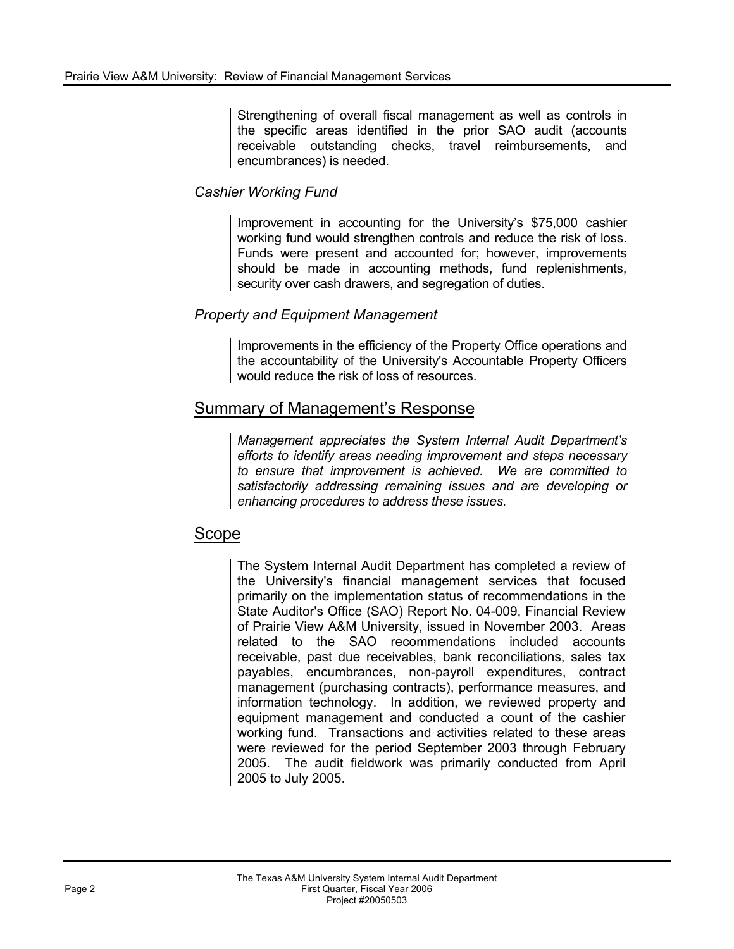Strengthening of overall fiscal management as well as controls in the specific areas identified in the prior SAO audit (accounts receivable outstanding checks, travel reimbursements, and encumbrances) is needed.

## *Cashier Working Fund*

Improvement in accounting for the University's \$75,000 cashier working fund would strengthen controls and reduce the risk of loss. Funds were present and accounted for; however, improvements should be made in accounting methods, fund replenishments, security over cash drawers, and segregation of duties.

## *Property and Equipment Management*

Improvements in the efficiency of the Property Office operations and the accountability of the University's Accountable Property Officers would reduce the risk of loss of resources.

# Summary of Management's Response

*Management appreciates the System Internal Audit Department's efforts to identify areas needing improvement and steps necessary to ensure that improvement is achieved. We are committed to satisfactorily addressing remaining issues and are developing or enhancing procedures to address these issues.* 

# Scope

The System Internal Audit Department has completed a review of the University's financial management services that focused primarily on the implementation status of recommendations in the State Auditor's Office (SAO) Report No. 04-009, Financial Review of Prairie View A&M University, issued in November 2003. Areas related to the SAO recommendations included accounts receivable, past due receivables, bank reconciliations, sales tax payables, encumbrances, non-payroll expenditures, contract management (purchasing contracts), performance measures, and information technology. In addition, we reviewed property and equipment management and conducted a count of the cashier working fund. Transactions and activities related to these areas were reviewed for the period September 2003 through February 2005. The audit fieldwork was primarily conducted from April 2005 to July 2005.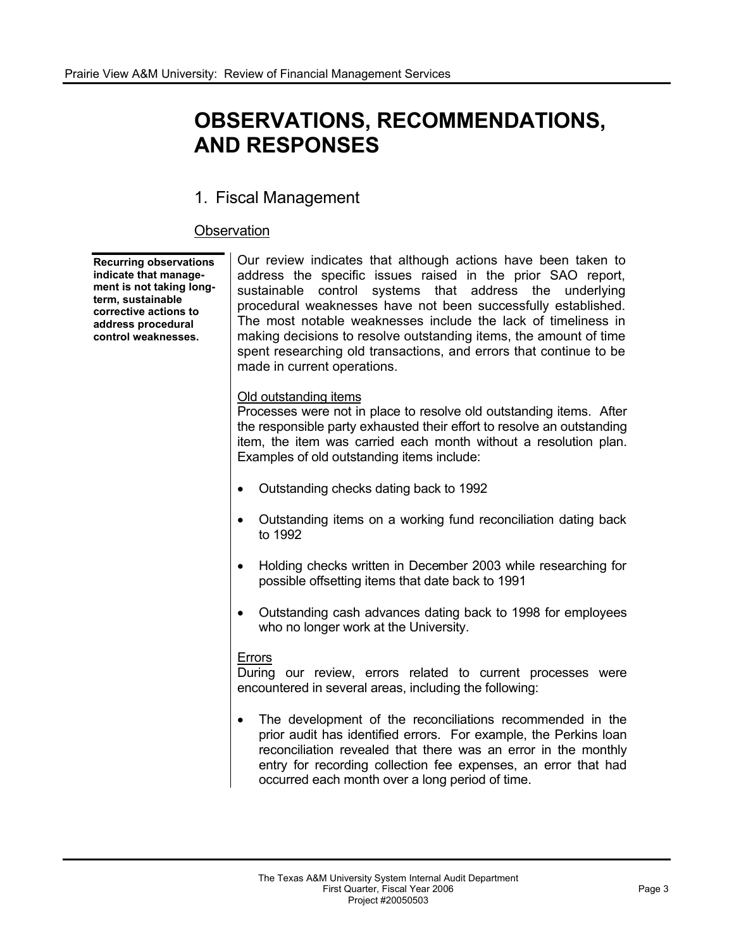# **OBSERVATIONS, RECOMMENDATIONS, AND RESPONSES**

# 1. Fiscal Management

## **Observation**

**Recurring observations indicate that management is not taking longterm, sustainable corrective actions to address procedural control weaknesses.** 

Our review indicates that although actions have been taken to address the specific issues raised in the prior SAO report, sustainable control systems that address the underlying procedural weaknesses have not been successfully established. The most notable weaknesses include the lack of timeliness in making decisions to resolve outstanding items, the amount of time spent researching old transactions, and errors that continue to be made in current operations.

#### Old outstanding items

Processes were not in place to resolve old outstanding items. After the responsible party exhausted their effort to resolve an outstanding item, the item was carried each month without a resolution plan. Examples of old outstanding items include:

- Outstanding checks dating back to 1992
- ! Outstanding items on a working fund reconciliation dating back to 1992
- ! Holding checks written in December 2003 while researching for possible offsetting items that date back to 1991
- ! Outstanding cash advances dating back to 1998 for employees who no longer work at the University.

#### **Errors**

During our review, errors related to current processes were encountered in several areas, including the following:

• The development of the reconciliations recommended in the prior audit has identified errors. For example, the Perkins loan reconciliation revealed that there was an error in the monthly entry for recording collection fee expenses, an error that had occurred each month over a long period of time.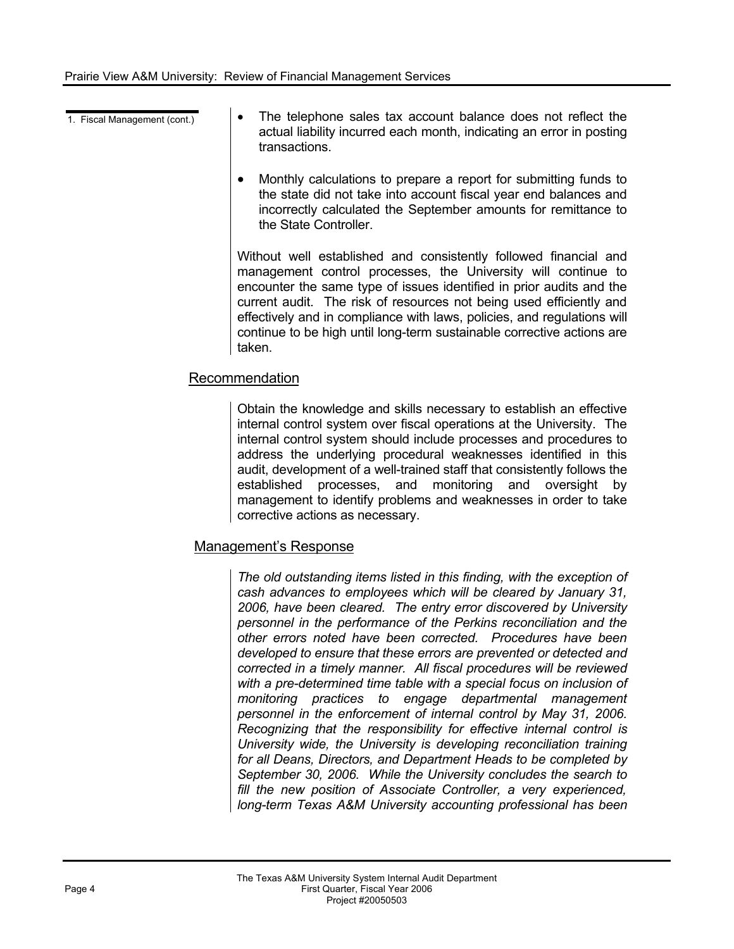- 
- 1. Fiscal Management  $(cont.)$   $\bullet$  The telephone sales tax account balance does not reflect the actual liability incurred each month, indicating an error in posting transactions.
	- Monthly calculations to prepare a report for submitting funds to the state did not take into account fiscal year end balances and incorrectly calculated the September amounts for remittance to the State Controller.

Without well established and consistently followed financial and management control processes, the University will continue to encounter the same type of issues identified in prior audits and the current audit. The risk of resources not being used efficiently and effectively and in compliance with laws, policies, and regulations will continue to be high until long-term sustainable corrective actions are taken.

## Recommendation

Obtain the knowledge and skills necessary to establish an effective internal control system over fiscal operations at the University. The internal control system should include processes and procedures to address the underlying procedural weaknesses identified in this audit, development of a well-trained staff that consistently follows the established processes, and monitoring and oversight by management to identify problems and weaknesses in order to take corrective actions as necessary.

## Management's Response

*The old outstanding items listed in this finding, with the exception of cash advances to employees which will be cleared by January 31, 2006, have been cleared. The entry error discovered by University personnel in the performance of the Perkins reconciliation and the other errors noted have been corrected. Procedures have been developed to ensure that these errors are prevented or detected and corrected in a timely manner. All fiscal procedures will be reviewed with a pre-determined time table with a special focus on inclusion of monitoring practices to engage departmental management*  personnel in the enforcement of internal control by May 31, 2006. *Recognizing that the responsibility for effective internal control is University wide, the University is developing reconciliation training for all Deans, Directors, and Department Heads to be completed by September 30, 2006. While the University concludes the search to fill the new position of Associate Controller, a very experienced, long-term Texas A&M University accounting professional has been*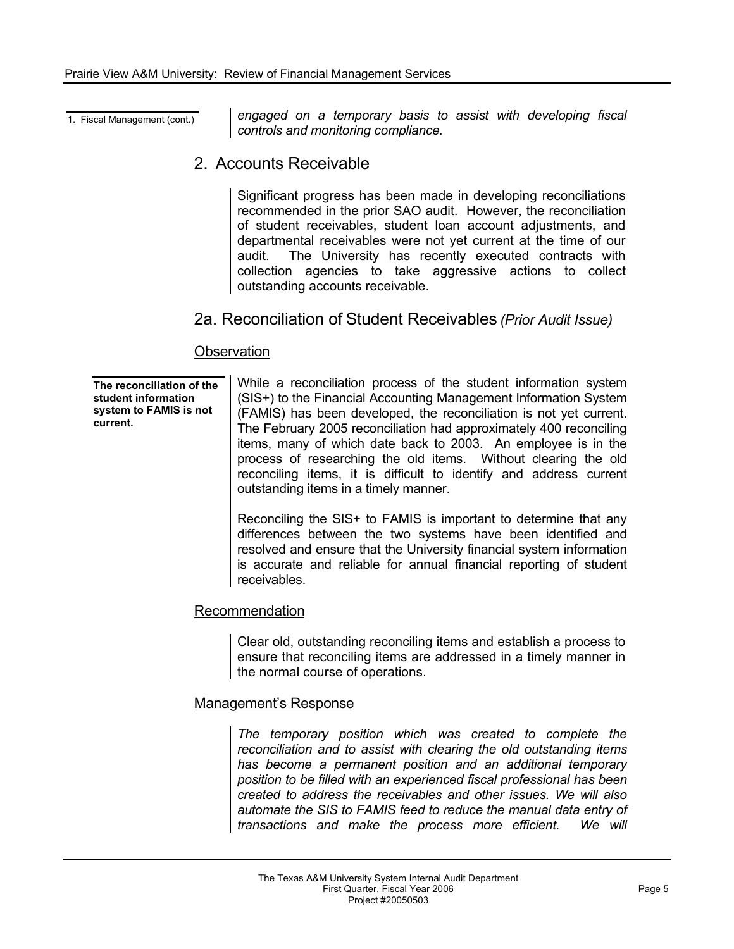1. Fiscal Management (cont.) *engaged on a temporary basis to assist with developing fiscal controls and monitoring compliance.* 

# 2. Accounts Receivable

Significant progress has been made in developing reconciliations recommended in the prior SAO audit. However, the reconciliation of student receivables, student loan account adjustments, and departmental receivables were not yet current at the time of our audit. The University has recently executed contracts with collection agencies to take aggressive actions to collect outstanding accounts receivable.

# 2a. Reconciliation of Student Receivables *(Prior Audit Issue)*

#### **Observation**

**The reconciliation of the student information system to FAMIS is not current.** 

While a reconciliation process of the student information system (SIS+) to the Financial Accounting Management Information System (FAMIS) has been developed, the reconciliation is not yet current. The February 2005 reconciliation had approximately 400 reconciling items, many of which date back to 2003. An employee is in the process of researching the old items. Without clearing the old reconciling items, it is difficult to identify and address current outstanding items in a timely manner.

Reconciling the SIS+ to FAMIS is important to determine that any differences between the two systems have been identified and resolved and ensure that the University financial system information is accurate and reliable for annual financial reporting of student receivables.

#### Recommendation

Clear old, outstanding reconciling items and establish a process to ensure that reconciling items are addressed in a timely manner in the normal course of operations.

#### Management's Response

*The temporary position which was created to complete the reconciliation and to assist with clearing the old outstanding items has become a permanent position and an additional temporary position to be filled with an experienced fiscal professional has been created to address the receivables and other issues. We will also automate the SIS to FAMIS feed to reduce the manual data entry of transactions and make the process more efficient. We will*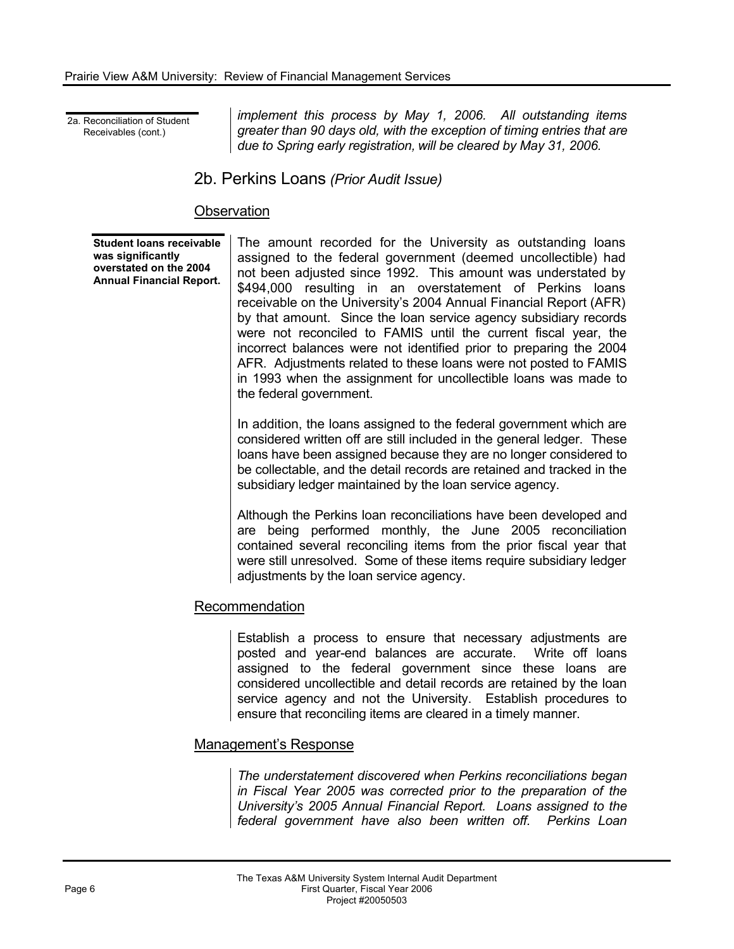2a. Reconciliation of Student Receivables (cont.)

*implement this process by May 1, 2006. All outstanding items greater than 90 days old, with the exception of timing entries that are*  due to Spring early registration, will be cleared by May 31, 2006.

## 2b. Perkins Loans *(Prior Audit Issue)*

## **Observation**

**Student loans receivable was significantly overstated on the 2004 Annual Financial Report.**  The amount recorded for the University as outstanding loans assigned to the federal government (deemed uncollectible) had not been adjusted since 1992. This amount was understated by \$494,000 resulting in an overstatement of Perkins loans receivable on the University's 2004 Annual Financial Report (AFR) by that amount. Since the loan service agency subsidiary records were not reconciled to FAMIS until the current fiscal year, the incorrect balances were not identified prior to preparing the 2004 AFR. Adjustments related to these loans were not posted to FAMIS in 1993 when the assignment for uncollectible loans was made to the federal government.

In addition, the loans assigned to the federal government which are considered written off are still included in the general ledger. These loans have been assigned because they are no longer considered to be collectable, and the detail records are retained and tracked in the subsidiary ledger maintained by the loan service agency.

Although the Perkins loan reconciliations have been developed and are being performed monthly, the June 2005 reconciliation contained several reconciling items from the prior fiscal year that were still unresolved. Some of these items require subsidiary ledger adjustments by the loan service agency.

## Recommendation

Establish a process to ensure that necessary adjustments are posted and year-end balances are accurate. Write off loans assigned to the federal government since these loans are considered uncollectible and detail records are retained by the loan service agency and not the University. Establish procedures to ensure that reconciling items are cleared in a timely manner.

#### Management's Response

*The understatement discovered when Perkins reconciliations began in Fiscal Year 2005 was corrected prior to the preparation of the University's 2005 Annual Financial Report. Loans assigned to the federal government have also been written off. Perkins Loan*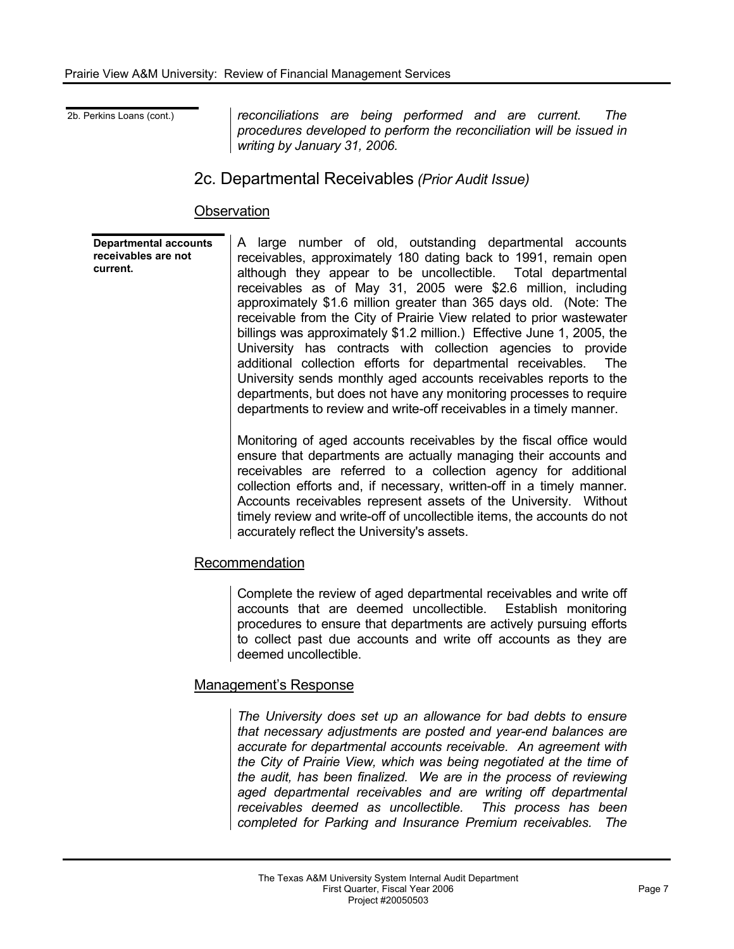2b. Perkins Loans (cont.) *reconciliations are being performed and are current. The procedures developed to perform the reconciliation will be issued in writing by January 31, 2006.* 

# 2c. Departmental Receivables *(Prior Audit Issue)*

### **Observation**

**Departmental accounts receivables are not current.**  A large number of old, outstanding departmental accounts receivables, approximately 180 dating back to 1991, remain open although they appear to be uncollectible. Total departmental receivables as of May 31, 2005 were \$2.6 million, including approximately \$1.6 million greater than 365 days old. (Note: The receivable from the City of Prairie View related to prior wastewater billings was approximately \$1.2 million.) Effective June 1, 2005, the University has contracts with collection agencies to provide additional collection efforts for departmental receivables. The University sends monthly aged accounts receivables reports to the departments, but does not have any monitoring processes to require departments to review and write-off receivables in a timely manner.

> Monitoring of aged accounts receivables by the fiscal office would ensure that departments are actually managing their accounts and receivables are referred to a collection agency for additional collection efforts and, if necessary, written-off in a timely manner. Accounts receivables represent assets of the University. Without timely review and write-off of uncollectible items, the accounts do not accurately reflect the University's assets.

#### Recommendation

Complete the review of aged departmental receivables and write off accounts that are deemed uncollectible. Establish monitoring procedures to ensure that departments are actively pursuing efforts to collect past due accounts and write off accounts as they are deemed uncollectible.

#### Management's Response

*The University does set up an allowance for bad debts to ensure that necessary adjustments are posted and year-end balances are accurate for departmental accounts receivable. An agreement with the City of Prairie View, which was being negotiated at the time of the audit, has been finalized. We are in the process of reviewing aged departmental receivables and are writing off departmental receivables deemed as uncollectible. This process has been completed for Parking and Insurance Premium receivables. The*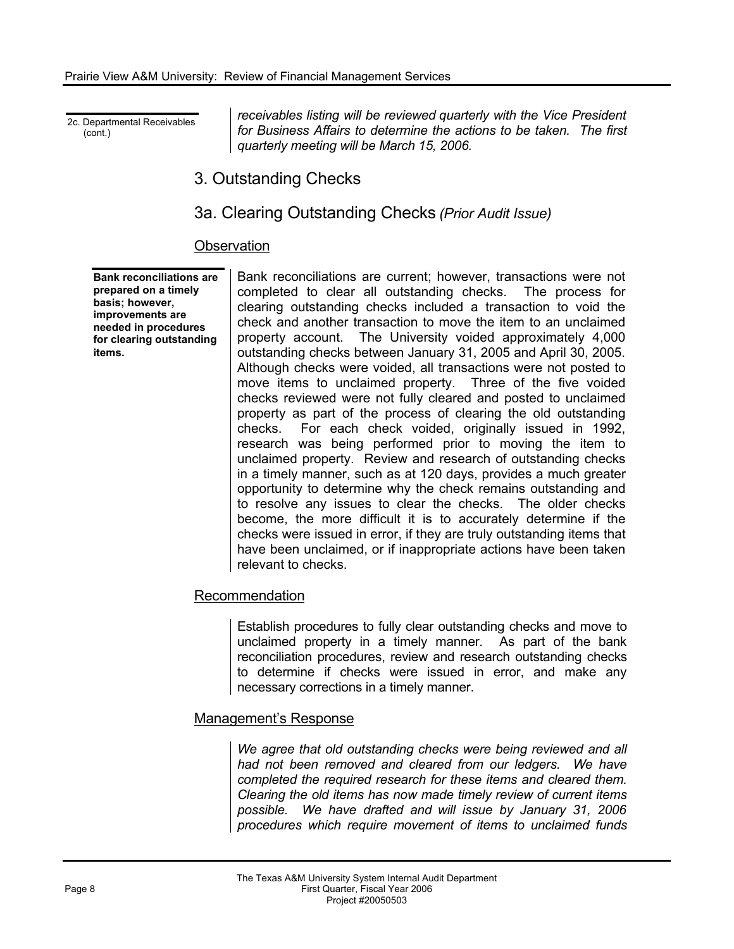2c. Departmental Receivables (cont.)

*receivables listing will be reviewed quarterly with the Vice President for Business Affairs to determine the actions to be taken. The first quarterly meeting will be March 15, 2006.* 

# 3. Outstanding Checks

# 3a. Clearing Outstanding Checks *(Prior Audit Issue)*

### **Observation**

**Bank reconciliations are prepared on a timely basis; however, improvements are needed in procedures for clearing outstanding items.** 

Bank reconciliations are current; however, transactions were not completed to clear all outstanding checks. The process for clearing outstanding checks included a transaction to void the check and another transaction to move the item to an unclaimed property account. The University voided approximately 4,000 outstanding checks between January 31, 2005 and April 30, 2005. Although checks were voided, all transactions were not posted to move items to unclaimed property. Three of the five voided checks reviewed were not fully cleared and posted to unclaimed property as part of the process of clearing the old outstanding checks. For each check voided, originally issued in 1992, research was being performed prior to moving the item to unclaimed property. Review and research of outstanding checks in a timely manner, such as at 120 days, provides a much greater opportunity to determine why the check remains outstanding and to resolve any issues to clear the checks. The older checks become, the more difficult it is to accurately determine if the checks were issued in error, if they are truly outstanding items that have been unclaimed, or if inappropriate actions have been taken relevant to checks.

#### Recommendation

Establish procedures to fully clear outstanding checks and move to unclaimed property in a timely manner. As part of the bank reconciliation procedures, review and research outstanding checks to determine if checks were issued in error, and make any necessary corrections in a timely manner.

#### Management's Response

*We agree that old outstanding checks were being reviewed and all had not been removed and cleared from our ledgers. We have completed the required research for these items and cleared them. Clearing the old items has now made timely review of current items possible. We have drafted and will issue by January 31, 2006 procedures which require movement of items to unclaimed funds*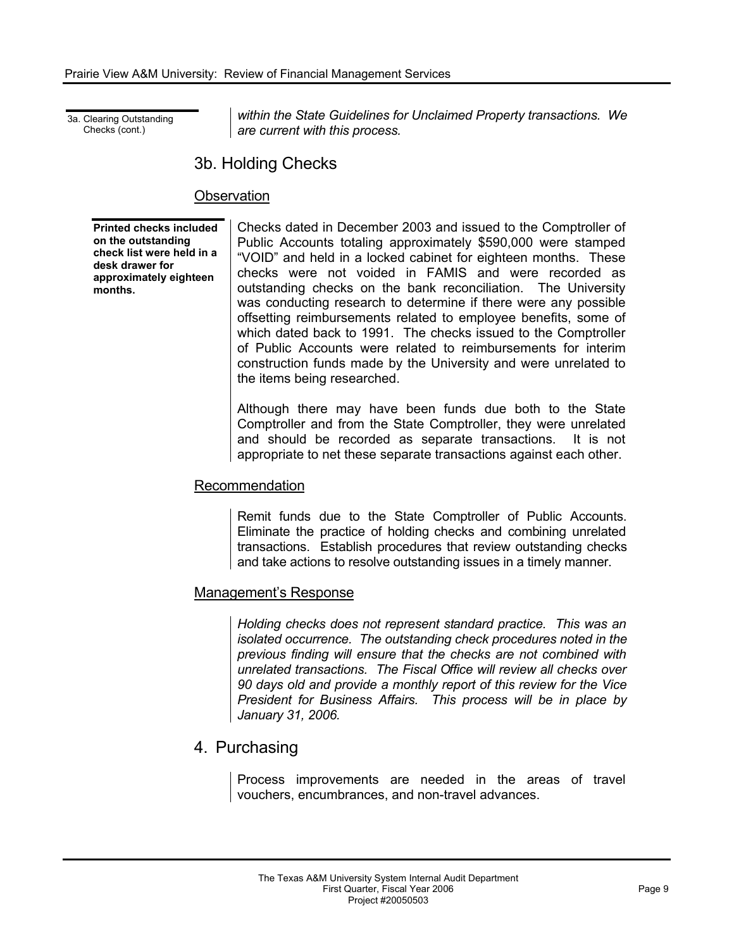3a. Clearing Outstanding Checks (cont.)

*within the State Guidelines for Unclaimed Property transactions. We are current with this process.* 

# 3b. Holding Checks

## **Observation**

**Printed checks included on the outstanding check list were held in a desk drawer for approximately eighteen months.** 

Checks dated in December 2003 and issued to the Comptroller of Public Accounts totaling approximately \$590,000 were stamped "VOID" and held in a locked cabinet for eighteen months. These checks were not voided in FAMIS and were recorded as outstanding checks on the bank reconciliation. The University was conducting research to determine if there were any possible offsetting reimbursements related to employee benefits, some of which dated back to 1991. The checks issued to the Comptroller of Public Accounts were related to reimbursements for interim construction funds made by the University and were unrelated to the items being researched.

Although there may have been funds due both to the State Comptroller and from the State Comptroller, they were unrelated and should be recorded as separate transactions. It is not appropriate to net these separate transactions against each other.

## Recommendation

Remit funds due to the State Comptroller of Public Accounts. Eliminate the practice of holding checks and combining unrelated transactions. Establish procedures that review outstanding checks and take actions to resolve outstanding issues in a timely manner.

## Management's Response

*Holding checks does not represent standard practice. This was an isolated occurrence. The outstanding check procedures noted in the previous finding will ensure that the checks are not combined with unrelated transactions. The Fiscal Office will review all checks over 90 days old and provide a monthly report of this review for the Vice President for Business Affairs. This process will be in place by January 31, 2006.* 

# 4. Purchasing

Process improvements are needed in the areas of travel vouchers, encumbrances, and non-travel advances.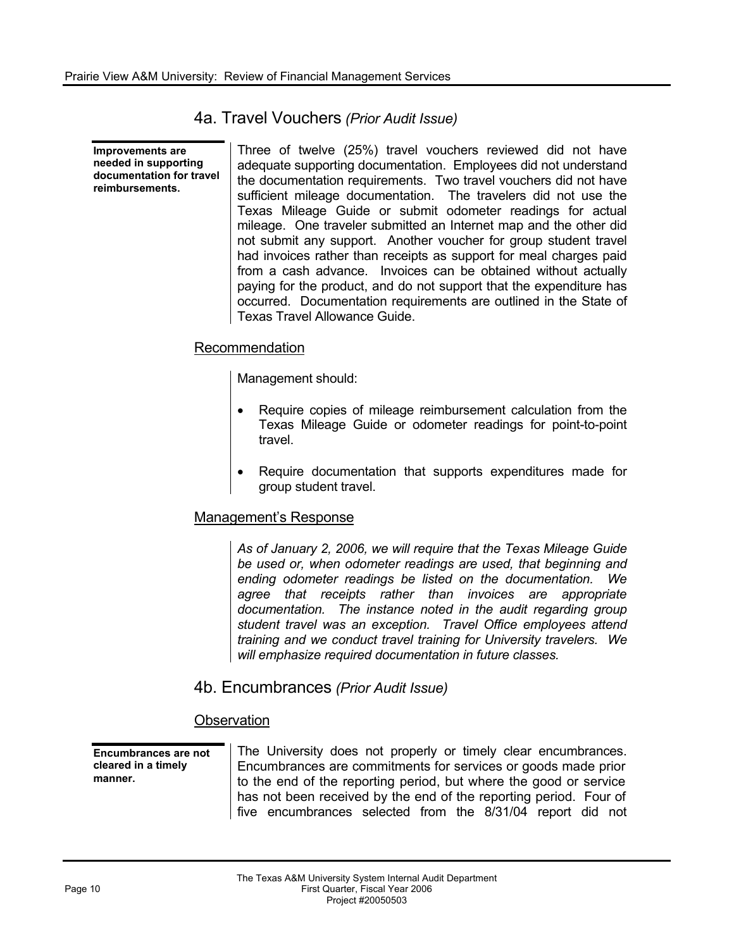4a. Travel Vouchers *(Prior Audit Issue)* 

**Improvements are needed in supporting documentation for travel reimbursements.** 

Three of twelve (25%) travel vouchers reviewed did not have adequate supporting documentation. Employees did not understand the documentation requirements. Two travel vouchers did not have sufficient mileage documentation. The travelers did not use the Texas Mileage Guide or submit odometer readings for actual mileage. One traveler submitted an Internet map and the other did not submit any support. Another voucher for group student travel had invoices rather than receipts as support for meal charges paid from a cash advance. Invoices can be obtained without actually paying for the product, and do not support that the expenditure has occurred. Documentation requirements are outlined in the State of Texas Travel Allowance Guide.

### Recommendation

Management should:

- Require copies of mileage reimbursement calculation from the Texas Mileage Guide or odometer readings for point-to-point travel.
- Require documentation that supports expenditures made for group student travel.

#### Management's Response

*As of January 2, 2006, we will require that the Texas Mileage Guide be used or, when odometer readings are used, that beginning and ending odometer readings be listed on the documentation. We agree that receipts rather than invoices are appropriate documentation. The instance noted in the audit regarding group student travel was an exception. Travel Office employees attend training and we conduct travel training for University travelers. We will emphasize required documentation in future classes.* 

4b. Encumbrances *(Prior Audit Issue)* 

#### **Observation**

**Encumbrances are not cleared in a timely manner.** 

The University does not properly or timely clear encumbrances. Encumbrances are commitments for services or goods made prior to the end of the reporting period, but where the good or service has not been received by the end of the reporting period. Four of five encumbrances selected from the 8/31/04 report did not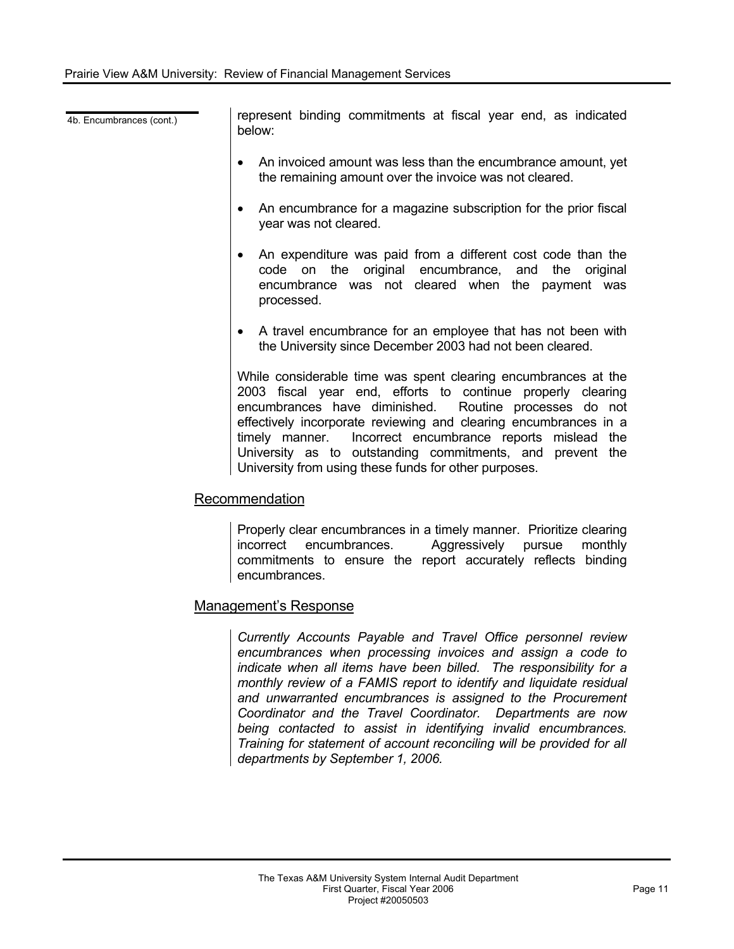4b. Encumbrances (cont.) **represent binding commitments at fiscal year end, as indicated** below:

- An invoiced amount was less than the encumbrance amount, yet the remaining amount over the invoice was not cleared.
- An encumbrance for a magazine subscription for the prior fiscal year was not cleared.
- An expenditure was paid from a different cost code than the code on the original encumbrance, and the original encumbrance was not cleared when the payment was processed.
- A travel encumbrance for an employee that has not been with the University since December 2003 had not been cleared.

While considerable time was spent clearing encumbrances at the 2003 fiscal year end, efforts to continue properly clearing encumbrances have diminished. Routine processes do not effectively incorporate reviewing and clearing encumbrances in a timely manner. Incorrect encumbrance reports mislead the University as to outstanding commitments, and prevent the University from using these funds for other purposes.

#### Recommendation

Properly clear encumbrances in a timely manner. Prioritize clearing incorrect encumbrances. Aggressively pursue monthly commitments to ensure the report accurately reflects binding encumbrances.

#### Management's Response

*Currently Accounts Payable and Travel Office personnel review encumbrances when processing invoices and assign a code to indicate when all items have been billed. The responsibility for a monthly review of a FAMIS report to identify and liquidate residual and unwarranted encumbrances is assigned to the Procurement Coordinator and the Travel Coordinator. Departments are now being contacted to assist in identifying invalid encumbrances. Training for statement of account reconciling will be provided for all departments by September 1, 2006.*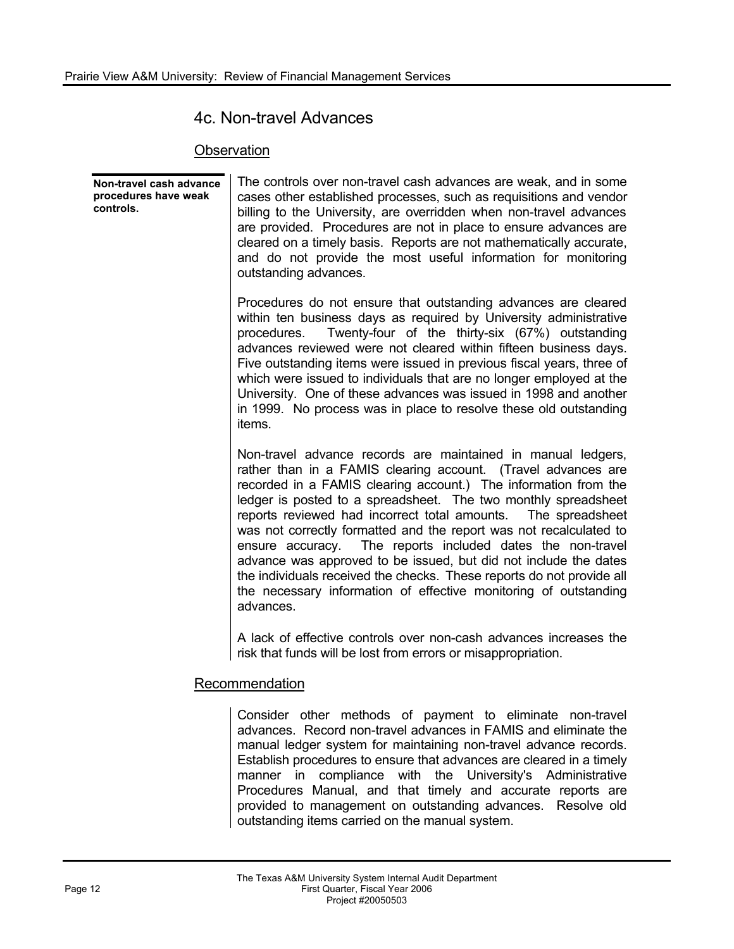# 4c. Non-travel Advances

## **Observation**

**Non-travel cash advance procedures have weak controls.**  The controls over non-travel cash advances are weak, and in some cases other established processes, such as requisitions and vendor billing to the University, are overridden when non-travel advances are provided. Procedures are not in place to ensure advances are cleared on a timely basis. Reports are not mathematically accurate, and do not provide the most useful information for monitoring outstanding advances. Procedures do not ensure that outstanding advances are cleared within ten business days as required by University administrative procedures. Twenty-four of the thirty-six (67%) outstanding advances reviewed were not cleared within fifteen business days. Five outstanding items were issued in previous fiscal years, three of which were issued to individuals that are no longer employed at the University. One of these advances was issued in 1998 and another in 1999. No process was in place to resolve these old outstanding items. Non-travel advance records are maintained in manual ledgers, rather than in a FAMIS clearing account. (Travel advances are recorded in a FAMIS clearing account.) The information from the ledger is posted to a spreadsheet. The two monthly spreadsheet reports reviewed had incorrect total amounts. The spreadsheet was not correctly formatted and the report was not recalculated to ensure accuracy. The reports included dates the non-travel advance was approved to be issued, but did not include the dates the individuals received the checks. These reports do not provide all the necessary information of effective monitoring of outstanding advances. A lack of effective controls over non-cash advances increases the risk that funds will be lost from errors or misappropriation.

## Recommendation

Consider other methods of payment to eliminate non-travel advances. Record non-travel advances in FAMIS and eliminate the manual ledger system for maintaining non-travel advance records. Establish procedures to ensure that advances are cleared in a timely manner in compliance with the University's Administrative Procedures Manual, and that timely and accurate reports are provided to management on outstanding advances. Resolve old outstanding items carried on the manual system.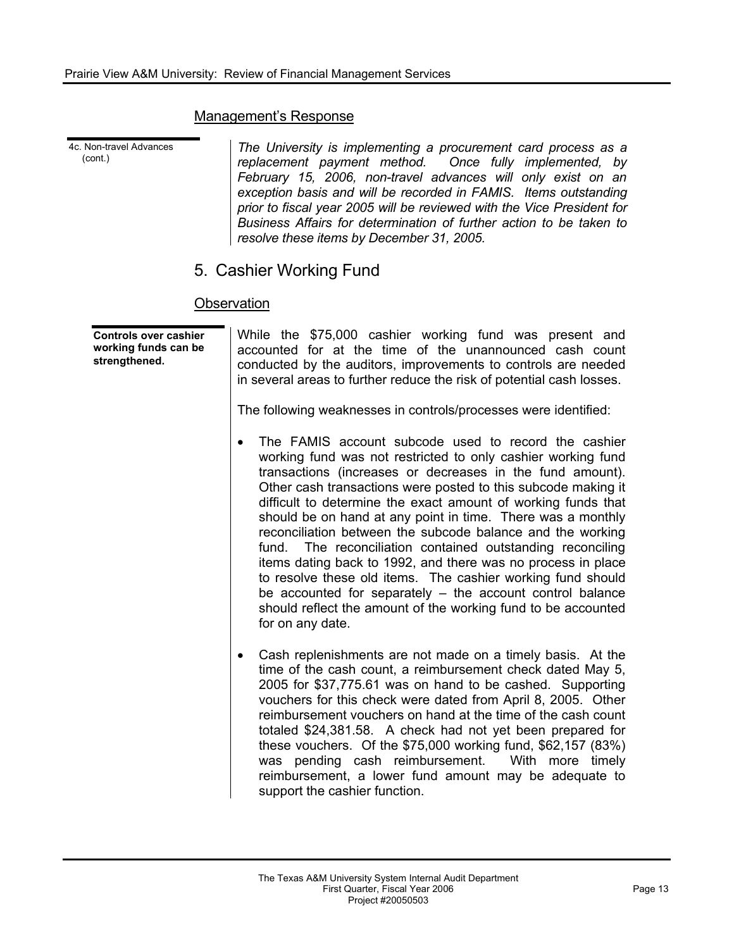#### Management's Response

4c. Non-travel Advances (cont.)

*The University is implementing a procurement card process as a replacement payment method. Once fully implemented, by February 15, 2006, non-travel advances will only exist on an exception basis and will be recorded in FAMIS. Items outstanding prior to fiscal year 2005 will be reviewed with the Vice President for Business Affairs for determination of further action to be taken to resolve these items by December 31, 2005.* 

# 5. Cashier Working Fund

### **Observation**

| <b>Controls over cashier</b><br>working funds can be<br>strengthened. | While the \$75,000 cashier working fund was present and<br>accounted for at the time of the unannounced cash count<br>conducted by the auditors, improvements to controls are needed<br>in several areas to further reduce the risk of potential cash losses.<br>The following weaknesses in controls/processes were identified:                                                                                                                                                                                                                                                                                                                                                                                                                                                                  |
|-----------------------------------------------------------------------|---------------------------------------------------------------------------------------------------------------------------------------------------------------------------------------------------------------------------------------------------------------------------------------------------------------------------------------------------------------------------------------------------------------------------------------------------------------------------------------------------------------------------------------------------------------------------------------------------------------------------------------------------------------------------------------------------------------------------------------------------------------------------------------------------|
|                                                                       | The FAMIS account subcode used to record the cashier<br>working fund was not restricted to only cashier working fund<br>transactions (increases or decreases in the fund amount).<br>Other cash transactions were posted to this subcode making it<br>difficult to determine the exact amount of working funds that<br>should be on hand at any point in time. There was a monthly<br>reconciliation between the subcode balance and the working<br>fund. The reconciliation contained outstanding reconciling<br>items dating back to 1992, and there was no process in place<br>to resolve these old items. The cashier working fund should<br>be accounted for separately $-$ the account control balance<br>should reflect the amount of the working fund to be accounted<br>for on any date. |
|                                                                       | Cash replenishments are not made on a timely basis. At the<br>٠<br>time of the cash count, a reimbursement check dated May 5,<br>2005 for \$37,775.61 was on hand to be cashed. Supporting<br>vouchers for this check were dated from April 8, 2005. Other<br>reimbursement vouchers on hand at the time of the cash count<br>totaled \$24,381.58. A check had not yet been prepared for<br>these vouchers. Of the \$75,000 working fund, \$62,157 (83%)<br>was pending cash reimbursement.<br>With more timely<br>reimbursement, a lower fund amount may be adequate to<br>support the cashier function.                                                                                                                                                                                         |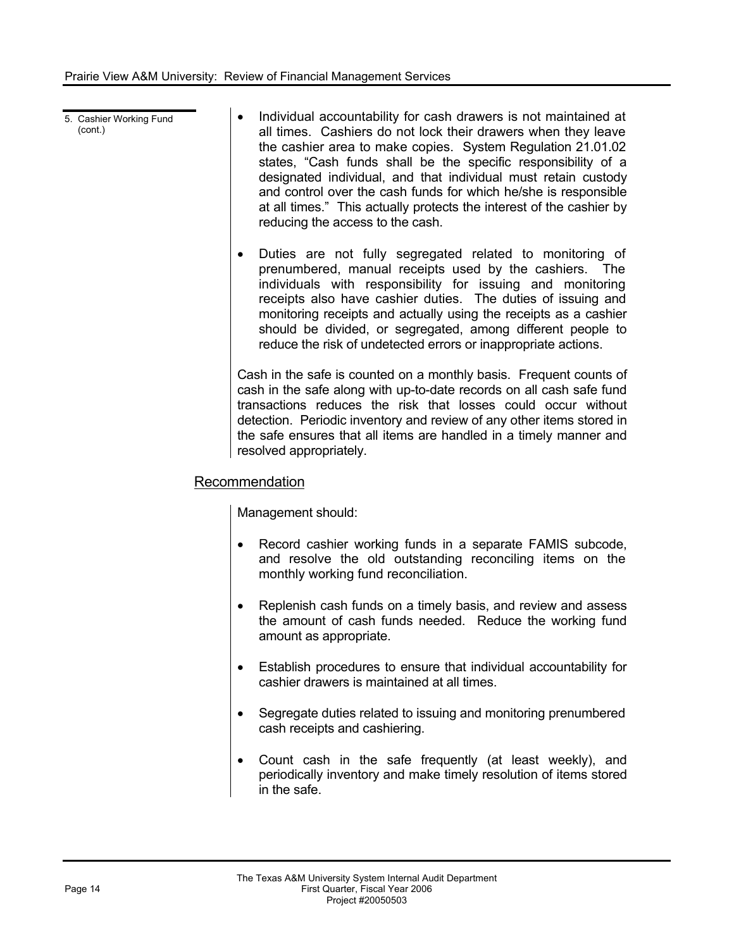- 5. Cashier Working Fund (cont.) Individual accountability for cash drawers is not maintained at all times. Cashiers do not lock their drawers when they leave the cashier area to make copies. System Regulation 21.01.02 states, "Cash funds shall be the specific responsibility of a designated individual, and that individual must retain custody and control over the cash funds for which he/she is responsible at all times." This actually protects the interest of the cashier by reducing the access to the cash.
	- ! Duties are not fully segregated related to monitoring of prenumbered, manual receipts used by the cashiers. The individuals with responsibility for issuing and monitoring receipts also have cashier duties. The duties of issuing and monitoring receipts and actually using the receipts as a cashier should be divided, or segregated, among different people to reduce the risk of undetected errors or inappropriate actions.

Cash in the safe is counted on a monthly basis. Frequent counts of cash in the safe along with up-to-date records on all cash safe fund transactions reduces the risk that losses could occur without detection. Periodic inventory and review of any other items stored in the safe ensures that all items are handled in a timely manner and resolved appropriately.

## Recommendation

Management should:

- Record cashier working funds in a separate FAMIS subcode, and resolve the old outstanding reconciling items on the monthly working fund reconciliation.
- Replenish cash funds on a timely basis, and review and assess the amount of cash funds needed. Reduce the working fund amount as appropriate.
- Establish procedures to ensure that individual accountability for cashier drawers is maintained at all times.
- Segregate duties related to issuing and monitoring prenumbered cash receipts and cashiering.
- Count cash in the safe frequently (at least weekly), and periodically inventory and make timely resolution of items stored in the safe.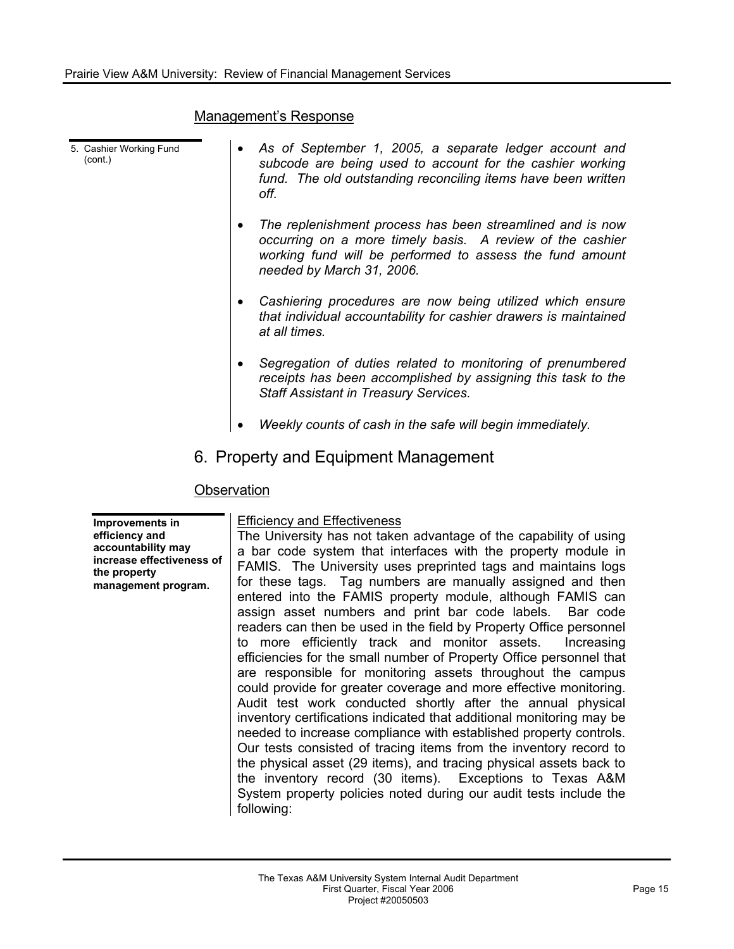#### Management's Response

| 5. Cashier Working Fund<br>(cont.) |             | As of September 1, 2005, a separate ledger account and<br>subcode are being used to account for the cashier working<br>fund. The old outstanding reconciling items have been written<br>off.                    |
|------------------------------------|-------------|-----------------------------------------------------------------------------------------------------------------------------------------------------------------------------------------------------------------|
|                                    |             | The replenishment process has been streamlined and is now<br>occurring on a more timely basis. A review of the cashier<br>working fund will be performed to assess the fund amount<br>needed by March 31, 2006. |
|                                    |             | Cashiering procedures are now being utilized which ensure<br>that individual accountability for cashier drawers is maintained<br>at all times.                                                                  |
|                                    |             | Segregation of duties related to monitoring of prenumbered<br>receipts has been accomplished by assigning this task to the<br><b>Staff Assistant in Treasury Services.</b>                                      |
|                                    |             | Weekly counts of cash in the safe will begin immediately.                                                                                                                                                       |
|                                    |             | 6. Property and Equipment Management                                                                                                                                                                            |
|                                    | Observation |                                                                                                                                                                                                                 |
| Imnrovements in                    |             | <b>Efficiency and Effectiveness</b>                                                                                                                                                                             |

**Improvements in efficiency and accountability may increase effectiveness of the property management program.** 

#### Efficiency and Effectiveness

The University has not taken advantage of the capability of using a bar code system that interfaces with the property module in FAMIS. The University uses preprinted tags and maintains logs for these tags. Tag numbers are manually assigned and then entered into the FAMIS property module, although FAMIS can assign asset numbers and print bar code labels. Bar code readers can then be used in the field by Property Office personnel to more efficiently track and monitor assets. Increasing efficiencies for the small number of Property Office personnel that are responsible for monitoring assets throughout the campus could provide for greater coverage and more effective monitoring. Audit test work conducted shortly after the annual physical inventory certifications indicated that additional monitoring may be needed to increase compliance with established property controls. Our tests consisted of tracing items from the inventory record to the physical asset (29 items), and tracing physical assets back to the inventory record (30 items). Exceptions to Texas A&M System property policies noted during our audit tests include the following: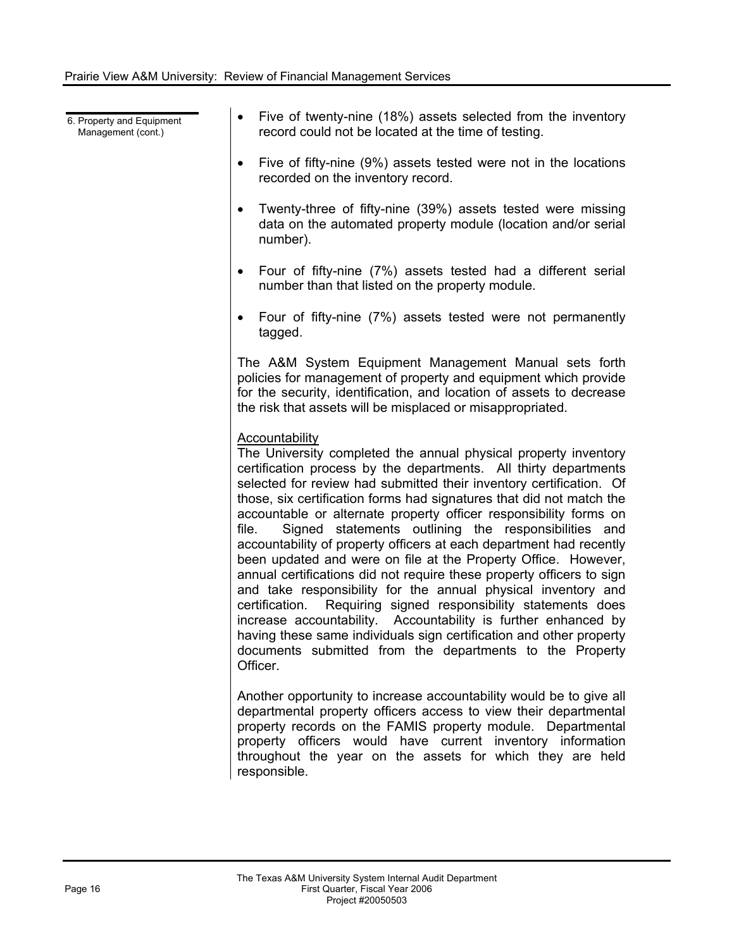6. Property and Equipment Management (cont.)

- Five of twenty-nine (18%) assets selected from the inventory record could not be located at the time of testing.
- Five of fifty-nine (9%) assets tested were not in the locations recorded on the inventory record.
- Twenty-three of fifty-nine (39%) assets tested were missing data on the automated property module (location and/or serial number).
- ! Four of fifty-nine (7%) assets tested had a different serial number than that listed on the property module.
- Four of fifty-nine (7%) assets tested were not permanently tagged.

The A&M System Equipment Management Manual sets forth policies for management of property and equipment which provide for the security, identification, and location of assets to decrease the risk that assets will be misplaced or misappropriated.

### Accountability

The University completed the annual physical property inventory certification process by the departments. All thirty departments selected for review had submitted their inventory certification. Of those, six certification forms had signatures that did not match the accountable or alternate property officer responsibility forms on file. Signed statements outlining the responsibilities and accountability of property officers at each department had recently been updated and were on file at the Property Office. However, annual certifications did not require these property officers to sign and take responsibility for the annual physical inventory and certification. Requiring signed responsibility statements does increase accountability. Accountability is further enhanced by having these same individuals sign certification and other property documents submitted from the departments to the Property Officer.

Another opportunity to increase accountability would be to give all departmental property officers access to view their departmental property records on the FAMIS property module. Departmental property officers would have current inventory information throughout the year on the assets for which they are held responsible.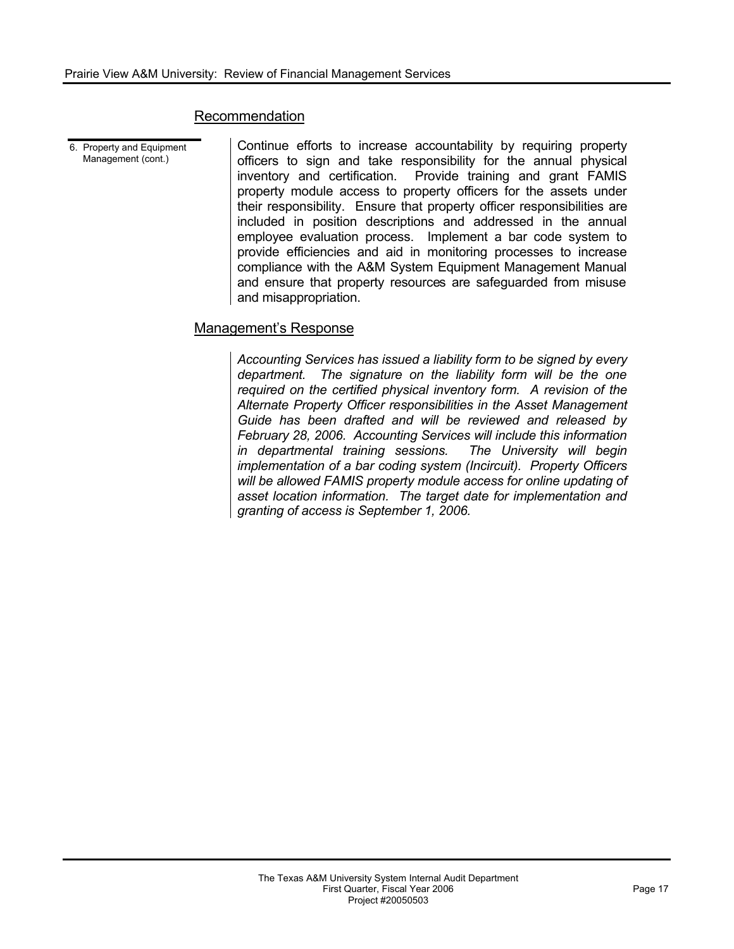#### Recommendation

6. Property and Equipment Management (cont.)

Continue efforts to increase accountability by requiring property officers to sign and take responsibility for the annual physical inventory and certification. Provide training and grant FAMIS property module access to property officers for the assets under their responsibility. Ensure that property officer responsibilities are included in position descriptions and addressed in the annual employee evaluation process. Implement a bar code system to provide efficiencies and aid in monitoring processes to increase compliance with the A&M System Equipment Management Manual and ensure that property resources are safeguarded from misuse and misappropriation.

#### Management's Response

*Accounting Services has issued a liability form to be signed by every department. The signature on the liability form will be the one required on the certified physical inventory form. A revision of the Alternate Property Officer responsibilities in the Asset Management Guide has been drafted and will be reviewed and released by February 28, 2006. Accounting Services will include this information in departmental training sessions. The University will begin implementation of a bar coding system (Incircuit). Property Officers will be allowed FAMIS property module access for online updating of asset location information. The target date for implementation and granting of access is September 1, 2006.*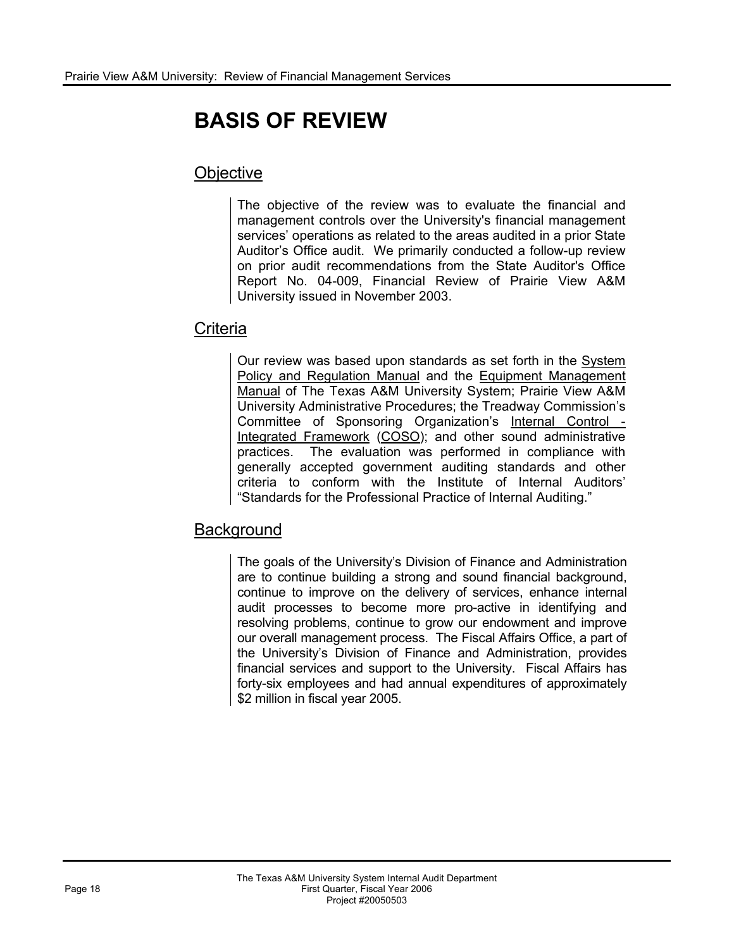# **BASIS OF REVIEW**

# **Objective**

The objective of the review was to evaluate the financial and management controls over the University's financial management services' operations as related to the areas audited in a prior State Auditor's Office audit. We primarily conducted a follow-up review on prior audit recommendations from the State Auditor's Office Report No. 04-009, Financial Review of Prairie View A&M University issued in November 2003.

# **Criteria**

Our review was based upon standards as set forth in the System Policy and Regulation Manual and the Equipment Management Manual of The Texas A&M University System; Prairie View A&M University Administrative Procedures; the Treadway Commission's Committee of Sponsoring Organization's Internal Control - Integrated Framework (COSO); and other sound administrative practices. The evaluation was performed in compliance with generally accepted government auditing standards and other criteria to conform with the Institute of Internal Auditors' "Standards for the Professional Practice of Internal Auditing."

# **Background**

The goals of the University's Division of Finance and Administration are to continue building a strong and sound financial background, continue to improve on the delivery of services, enhance internal audit processes to become more pro-active in identifying and resolving problems, continue to grow our endowment and improve our overall management process. The Fiscal Affairs Office, a part of the University's Division of Finance and Administration, provides financial services and support to the University. Fiscal Affairs has forty-six employees and had annual expenditures of approximately \$2 million in fiscal year 2005.